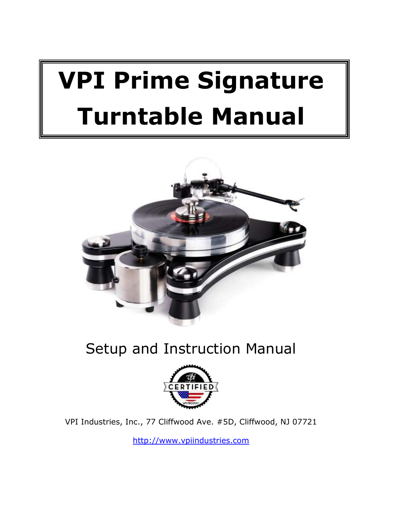# **VPI Prime Signature Turntable Manual**



# Setup and Instruction Manual



VPI Industries, Inc., 77 Cliffwood Ave. #5D, Cliffwood, NJ 07721

[http://www.vpiindustries.com](http://www.vpiindustries.com/)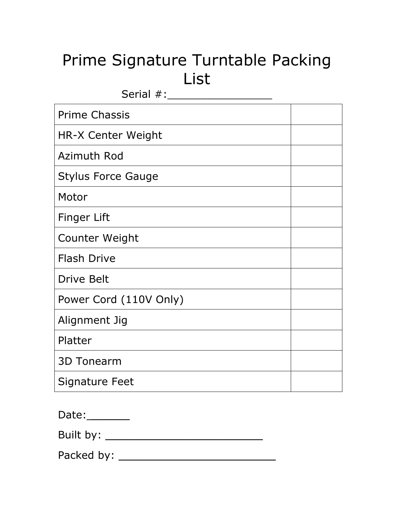# Prime Signature Turntable Packing List

| Serial #:                 |  |
|---------------------------|--|
| <b>Prime Chassis</b>      |  |
| HR-X Center Weight        |  |
| Azimuth Rod               |  |
| <b>Stylus Force Gauge</b> |  |
| Motor                     |  |
| <b>Finger Lift</b>        |  |
| Counter Weight            |  |
| <b>Flash Drive</b>        |  |
| <b>Drive Belt</b>         |  |
| Power Cord (110V Only)    |  |
| Alignment Jig             |  |
| Platter                   |  |
| <b>3D Tonearm</b>         |  |
| <b>Signature Feet</b>     |  |

| Date: |  |
|-------|--|
|       |  |

Built by: \_\_\_\_\_\_\_\_\_\_\_\_\_\_\_\_\_\_\_\_\_\_\_\_

Packed by: \_\_\_\_\_\_\_\_\_\_\_\_\_\_\_\_\_\_\_\_\_\_\_\_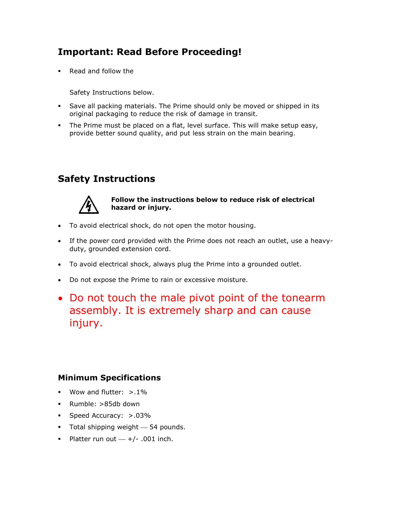# **Important: Read Before Proceeding!**

•Read and follow the

[Safety Instructions](#page-3-0) below.

- Save all packing materials. The Prime should only be moved or shipped in its original packaging to reduce the risk of damage in transit.
- <span id="page-3-0"></span> The Prime must be placed on a flat, level surface. This will make setup easy, provide better sound quality, and put less strain on the main bearing.

### **Safety Instructions**



#### **Follow the instructions below to reduce risk of electrical hazard or injury.**

- To avoid electrical shock, do not open the motor housing.
- If the power cord provided with the Prime does not reach an outlet, use a heavyduty, grounded extension cord.
- To avoid electrical shock, always plug the Prime into a grounded outlet.
- Do not expose the Prime to rain or excessive moisture.
- Do not touch the male pivot point of the tonearm assembly. It is extremely sharp and can cause injury.

#### **Minimum Specifications**

- **Wow and flutter:**  $> 1\%$
- Rumble: >85db down
- Speed Accuracy: >.03%
- $\blacksquare$  Total shipping weight  $\smash{\overline{\phantom{a}}}$  54 pounds.
- Platter run out  $+/- .001$  inch.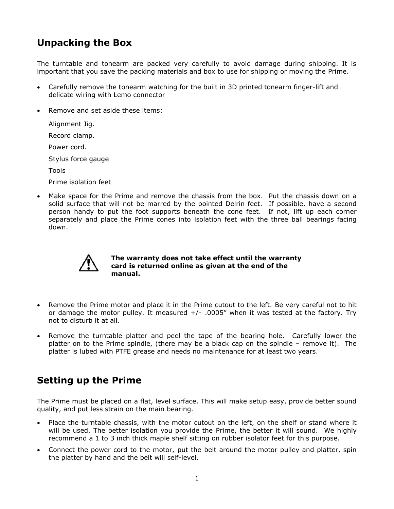### **Unpacking the Box**

The turntable and tonearm are packed very carefully to avoid damage during shipping. It is important that you save the packing materials and box to use for shipping or moving the Prime.

- Carefully remove the tonearm watching for the built in 3D printed tonearm finger-lift and delicate wiring with Lemo connector
- Remove and set aside these items:

Alignment Jig. Record clamp.

Power cord.

Stylus force gauge

Tools

Prime isolation feet

 Make space for the Prime and remove the chassis from the box. Put the chassis down on a solid surface that will not be marred by the pointed Delrin feet. If possible, have a second person handy to put the foot supports beneath the cone feet. If not, lift up each corner separately and place the Prime cones into isolation feet with the three ball bearings facing down.



#### **The warranty does not take effect until the warranty card is returned online as given at the end of the manual.**

- Remove the Prime motor and place it in the Prime cutout to the left. Be very careful not to hit or damage the motor pulley. It measured  $+/-$  .0005" when it was tested at the factory. Try not to disturb it at all.
- Remove the turntable platter and peel the tape of the bearing hole. Carefully lower the platter on to the Prime spindle, (there may be a black cap on the spindle – remove it). The platter is lubed with PTFE grease and needs no maintenance for at least two years.

#### **Setting up the Prime**

The Prime must be placed on a flat, level surface. This will make setup easy, provide better sound quality, and put less strain on the main bearing.

- Place the turntable chassis, with the motor cutout on the left, on the shelf or stand where it will be used. The better isolation you provide the Prime, the better it will sound. We highly recommend a 1 to 3 inch thick maple shelf sitting on rubber isolator feet for this purpose.
- Connect the power cord to the motor, put the belt around the motor pulley and platter, spin the platter by hand and the belt will self-level.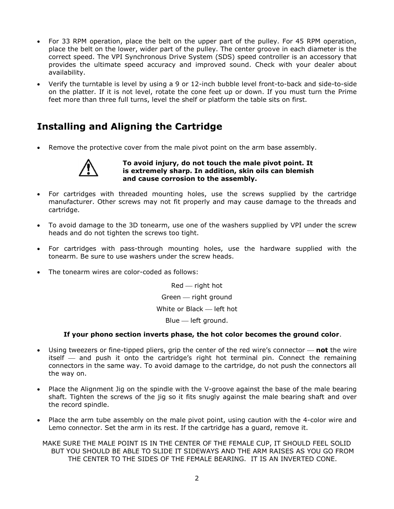- For 33 RPM operation, place the belt on the upper part of the pulley. For 45 RPM operation, place the belt on the lower, wider part of the pulley. The center groove in each diameter is the correct speed. The VPI Synchronous Drive System (SDS) speed controller is an accessory that provides the ultimate speed accuracy and improved sound. Check with your dealer about availability.
- Verify the turntable is level by using a 9 or 12-inch bubble level front-to-back and side-to-side on the platter. If it is not level, rotate the cone feet up or down. If you must turn the Prime feet more than three full turns, level the shelf or platform the table sits on first.

# **Installing and Aligning the Cartridge**

Remove the protective cover from the male pivot point on the arm base assembly.



**To avoid injury, do not touch the male pivot point. It is extremely sharp. In addition, skin oils can blemish and cause corrosion to the assembly.** 

- For cartridges with threaded mounting holes, use the screws supplied by the cartridge manufacturer. Other screws may not fit properly and may cause damage to the threads and cartridge.
- To avoid damage to the 3D tonearm, use one of the washers supplied by VPI under the screw heads and do not tighten the screws too tight.
- For cartridges with pass-through mounting holes, use the hardware supplied with the tonearm. Be sure to use washers under the screw heads.
- The tonearm wires are color-coded as follows:

 $Red$  - right hot Green - right ground White or  $Black - left$  hot Blue - left ground.

#### **If your phono section inverts phase, the hot color becomes the ground color**.

- Using tweezers or fine-tipped pliers, grip the center of the red wire's connector **not** the wire itself  $-$  and push it onto the cartridge's right hot terminal pin. Connect the remaining connectors in the same way. To avoid damage to the cartridge, do not push the connectors all the way on.
- Place the Alignment Jig on the spindle with the V-groove against the base of the male bearing shaft. Tighten the screws of the jig so it fits snugly against the male bearing shaft and over the record spindle.
- Place the arm tube assembly on the male pivot point, using caution with the 4-color wire and Lemo connector. Set the arm in its rest. If the cartridge has a guard, remove it.

MAKE SURE THE MALE POINT IS IN THE CENTER OF THE FEMALE CUP, IT SHOULD FEEL SOLID BUT YOU SHOULD BE ABLE TO SLIDE IT SIDEWAYS AND THE ARM RAISES AS YOU GO FROM THE CENTER TO THE SIDES OF THE FEMALE BEARING. IT IS AN INVERTED CONE.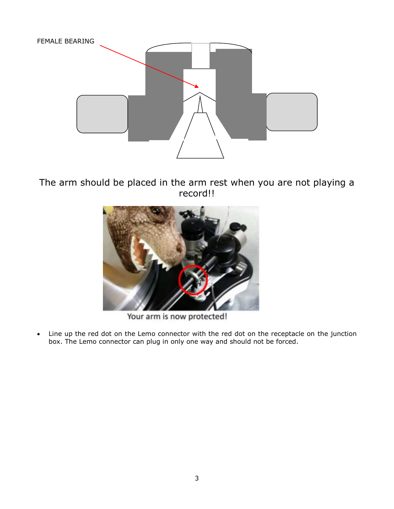

The arm should be placed in the arm rest when you are not playing a record!!



Your arm is now protected!

 Line up the red dot on the Lemo connector with the red dot on the receptacle on the junction box. The Lemo connector can plug in only one way and should not be forced.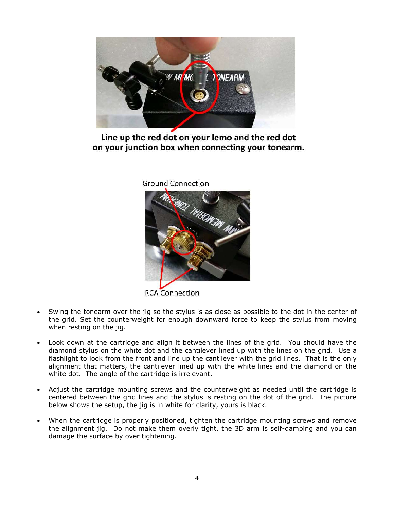

Line up the red dot on your lemo and the red dot on your junction box when connecting your tonearm.

**Ground Connection** 



**RCA Connection** 

- Swing the tonearm over the jig so the stylus is as close as possible to the dot in the center of the grid. Set the counterweight for enough downward force to keep the stylus from moving when resting on the jig.
- Look down at the cartridge and align it between the lines of the grid. You should have the diamond stylus on the white dot and the cantilever lined up with the lines on the grid. Use a flashlight to look from the front and line up the cantilever with the grid lines. That is the only alignment that matters, the cantilever lined up with the white lines and the diamond on the white dot. The angle of the cartridge is irrelevant.
- Adjust the cartridge mounting screws and the counterweight as needed until the cartridge is centered between the grid lines and the stylus is resting on the dot of the grid. The picture below shows the setup, the jig is in white for clarity, yours is black.
- When the cartridge is properly positioned, tighten the cartridge mounting screws and remove the alignment jig. Do not make them overly tight, the 3D arm is self-damping and you can damage the surface by over tightening.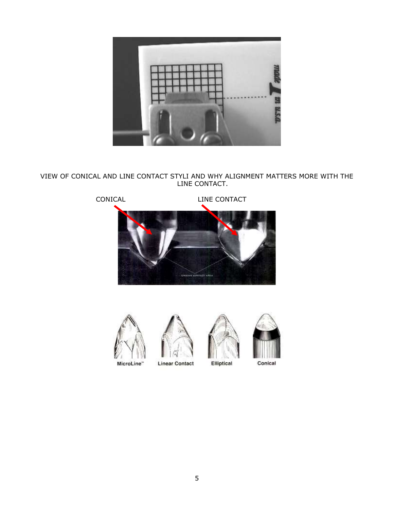

VIEW OF CONICAL AND LINE CONTACT STYLI AND WHY ALIGNMENT MATTERS MORE WITH THE LINE CONTACT.







**Linear Contact** 





Conical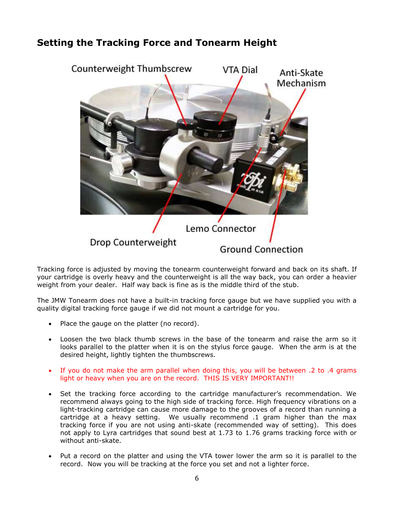#### **Setting the Tracking Force and Tonearm Height**



Tracking force is adjusted by moving the tonearm counterweight forward and back on its shaft. If your cartridge is overly heavy and the counterweight is all the way back, you can order a heavier weight from your dealer. Half way back is fine as is the middle third of the stub.

The JMW Tonearm does not have a built-in tracking force gauge but we have supplied you with a quality digital tracking force gauge if we did not mount a cartridge for you.

- Place the gauge on the platter (no record).
- Loosen the two black thumb screws in the base of the tonearm and raise the arm so it looks parallel to the platter when it is on the stylus force gauge. When the arm is at the desired height, lightly tighten the thumbscrews.
- If you do not make the arm parallel when doing this, you will be between .2 to .4 grams light or heavy when you are on the record. THIS IS VERY IMPORTANT!!
- Set the tracking force according to the cartridge manufacturer's recommendation. We recommend always going to the high side of tracking force. High frequency vibrations on a light-tracking cartridge can cause more damage to the grooves of a record than running a cartridge at a heavy setting. We usually recommend .1 gram higher than the max tracking force if you are not using anti-skate (recommended way of setting). This does not apply to Lyra cartridges that sound best at 1.73 to 1.76 grams tracking force with or without anti-skate.
- Put a record on the platter and using the VTA tower lower the arm so it is parallel to the record. Now you will be tracking at the force you set and not a lighter force.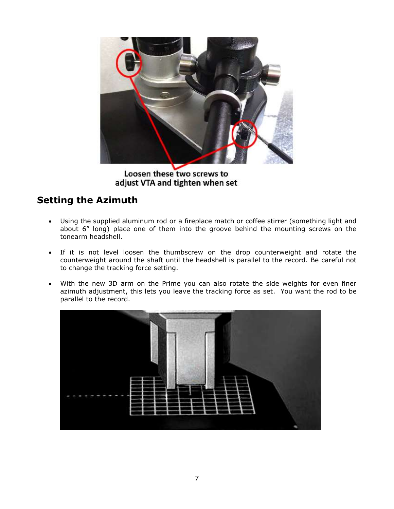

Loosen these two screws to adjust VTA and tighten when set

# **Setting the Azimuth**

- Using the supplied aluminum rod or a fireplace match or coffee stirrer (something light and about 6" long) place one of them into the groove behind the mounting screws on the tonearm headshell.
- If it is not level loosen the thumbscrew on the drop counterweight and rotate the counterweight around the shaft until the headshell is parallel to the record. Be careful not to change the tracking force setting.
- With the new 3D arm on the Prime you can also rotate the side weights for even finer azimuth adjustment, this lets you leave the tracking force as set. You want the rod to be parallel to the record.

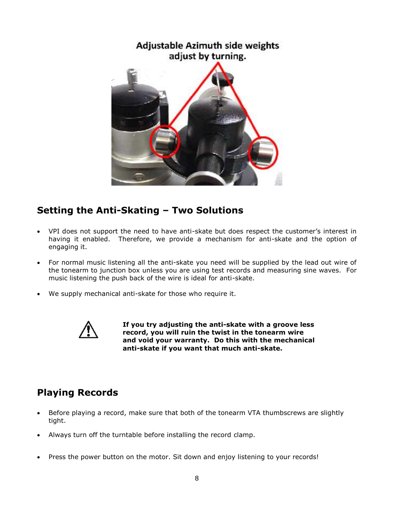

# **Setting the Anti-Skating – Two Solutions**

- VPI does not support the need to have anti-skate but does respect the customer's interest in having it enabled. Therefore, we provide a mechanism for anti-skate and the option of engaging it.
- For normal music listening all the anti-skate you need will be supplied by the lead out wire of the tonearm to junction box unless you are using test records and measuring sine waves. For music listening the push back of the wire is ideal for anti-skate.
- We supply mechanical anti-skate for those who require it.



**If you try adjusting the anti-skate with a groove less record, you will ruin the twist in the tonearm wire and void your warranty. Do this with the mechanical anti-skate if you want that much anti-skate.**

# **Playing Records**

- Before playing a record, make sure that both of the tonearm VTA thumbscrews are slightly tight.
- Always turn off the turntable before installing the record clamp.
- Press the power button on the motor. Sit down and enjoy listening to your records!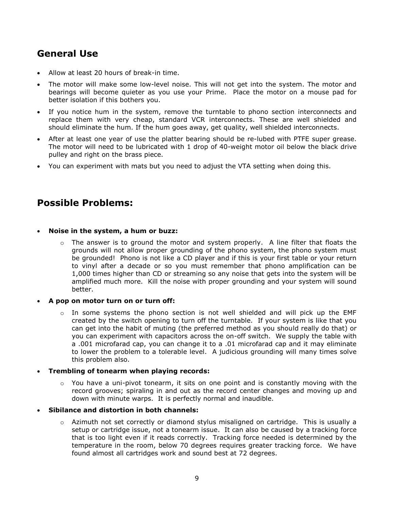# **General Use**

- Allow at least 20 hours of break-in time.
- The motor will make some low-level noise. This will not get into the system. The motor and bearings will become quieter as you use your Prime. Place the motor on a mouse pad for better isolation if this bothers you.
- If you notice hum in the system, remove the turntable to phono section interconnects and replace them with very cheap, standard VCR interconnects. These are well shielded and should eliminate the hum. If the hum goes away, get quality, well shielded interconnects.
- After at least one year of use the platter bearing should be re-lubed with PTFE super grease. The motor will need to be lubricated with 1 drop of 40-weight motor oil below the black drive pulley and right on the brass piece.
- You can experiment with mats but you need to adjust the VTA setting when doing this.

#### **Possible Problems:**

#### **Noise in the system, a hum or buzz:**

 $\circ$  The answer is to ground the motor and system properly. A line filter that floats the grounds will not allow proper grounding of the phono system, the phono system must be grounded! Phono is not like a CD player and if this is your first table or your return to vinyl after a decade or so you must remember that phono amplification can be 1,000 times higher than CD or streaming so any noise that gets into the system will be amplified much more. Kill the noise with proper grounding and your system will sound better.

#### **A pop on motor turn on or turn off:**

 $\circ$  In some systems the phono section is not well shielded and will pick up the EMF created by the switch opening to turn off the turntable. If your system is like that you can get into the habit of muting (the preferred method as you should really do that) or you can experiment with capacitors across the on-off switch. We supply the table with a .001 microfarad cap, you can change it to a .01 microfarad cap and it may eliminate to lower the problem to a tolerable level. A judicious grounding will many times solve this problem also.

#### **Trembling of tonearm when playing records:**

 $\circ$  You have a uni-pivot tonearm, it sits on one point and is constantly moving with the record grooves; spiraling in and out as the record center changes and moving up and down with minute warps. It is perfectly normal and inaudible.

#### **Sibilance and distortion in both channels:**

 $\circ$  Azimuth not set correctly or diamond stylus misaligned on cartridge. This is usually a setup or cartridge issue, not a tonearm issue. It can also be caused by a tracking force that is too light even if it reads correctly. Tracking force needed is determined by the temperature in the room, below 70 degrees requires greater tracking force. We have found almost all cartridges work and sound best at 72 degrees.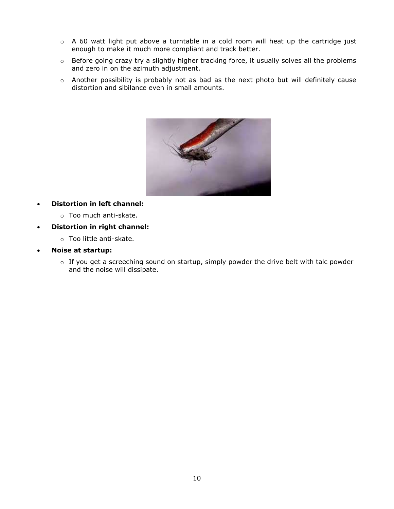- $\circ$  A 60 watt light put above a turntable in a cold room will heat up the cartridge just enough to make it much more compliant and track better.
- o Before going crazy try a slightly higher tracking force, it usually solves all the problems and zero in on the azimuth adjustment.
- o Another possibility is probably not as bad as the next photo but will definitely cause distortion and sibilance even in small amounts.



- **Distortion in left channel:**
	- o Too much anti-skate.
- **Distortion in right channel:**
	- o Too little anti-skate.
- **Noise at startup:**
	- o If you get a screeching sound on startup, simply powder the drive belt with talc powder and the noise will dissipate.